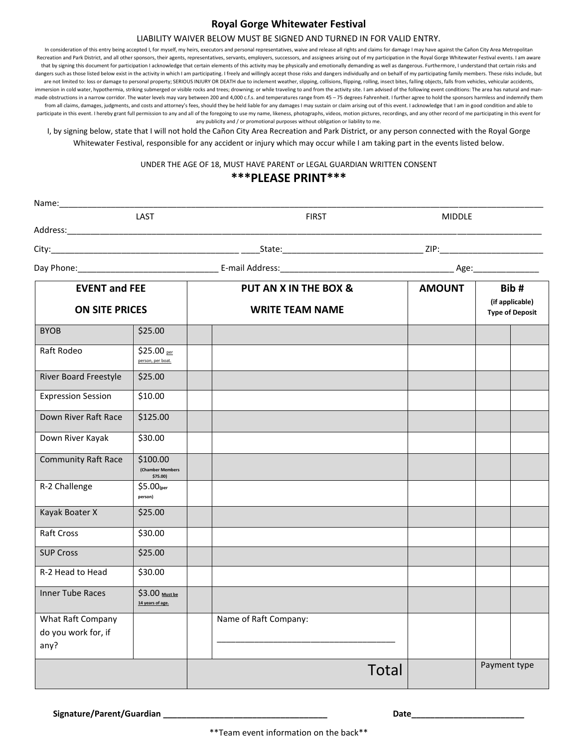## **Royal Gorge Whitewater Festival**

#### LIABILITY WAIVER BELOW MUST BE SIGNED AND TURNED IN FOR VALID ENTRY.

In consideration of this entry being accepted I, for myself, my heirs, executors and personal representatives, waive and release all rights and claims for damage I may have against the Cañon City Area Metropolitan Recreation and Park District, and all other sponsors, their agents, representatives, servants, employers, successors, and assignees arising out of my participation in the Royal Gorge Whitewater Festival events. I am aware that by signing this document for participation I acknowledge that certain elements of this activity may be physically and emotionally demanding as well as dangerous. Furthermore, I understand that certain risks and dangers such as those listed below exist in the activity in which I am participating. I freely and willingly accept those risks and dangers individually and on behalf of my participating family members. These risks include are not limited to: loss or damage to personal property; SERIOUS INJURY OR DEATH due to inclement weather, slipping, collisions, flipping, rolling, insect bites, falling objects, falls from vehicles, vehicular accidents, immersion in cold water, hypothermia, striking submerged or visible rocks and trees; drowning; or while traveling to and from the activity site. I am advised of the following event conditions: The area has natural and manmade obstructions in a narrow corridor. The water levels may vary between 200 and 4,000 c.f.s. and temperatures range from 45 – 75 degrees Fahrenheit. I further agree to hold the sponsors harmless and indemnify them from all claims, damages, judgments, and costs and attorney's fees, should they be held liable for any damages I may sustain or claim arising out of this event. I acknowledge that I am in good condition and able to participate in this event. I hereby grant full permission to any and all of the foregoing to use my name, likeness, photographs, videos, motion pictures, recordings, and any other record of me participating in this event f any publicity and / or promotional purposes without obligation or liability to me.

I, by signing below, state that I will not hold the Cañon City Area Recreation and Park District, or any person connected with the Royal Gorge Whitewater Festival, responsible for any accident or injury which may occur while I am taking part in the events listed below.

UNDER THE AGE OF 18, MUST HAVE PARENT or LEGAL GUARDIAN WRITTEN CONSENT

### **\*\*\*PLEASE PRINT\*\*\***

|                                                  | LAST                                    |  | <b>FIRST</b>           | <b>MIDDLE</b> |                                                   |  |
|--------------------------------------------------|-----------------------------------------|--|------------------------|---------------|---------------------------------------------------|--|
| Address:_________________________                |                                         |  |                        |               |                                                   |  |
|                                                  |                                         |  |                        |               |                                                   |  |
|                                                  |                                         |  |                        |               |                                                   |  |
| <b>EVENT and FEE</b><br><b>ON SITE PRICES</b>    |                                         |  | PUT AN X IN THE BOX &  | <b>AMOUNT</b> | Bib#<br>(if applicable)<br><b>Type of Deposit</b> |  |
|                                                  |                                         |  | <b>WRITE TEAM NAME</b> |               |                                                   |  |
| <b>BYOB</b>                                      | \$25.00                                 |  |                        |               |                                                   |  |
| Raft Rodeo                                       | \$25.00 per<br>person, per boat.        |  |                        |               |                                                   |  |
| River Board Freestyle                            | \$25.00                                 |  |                        |               |                                                   |  |
| <b>Expression Session</b>                        | \$10.00                                 |  |                        |               |                                                   |  |
| Down River Raft Race                             | \$125.00                                |  |                        |               |                                                   |  |
| Down River Kayak                                 | \$30.00                                 |  |                        |               |                                                   |  |
| <b>Community Raft Race</b>                       | \$100.00<br>(Chamber Members<br>\$75.00 |  |                        |               |                                                   |  |
| R-2 Challenge                                    | $$5.00$ (per<br>person)                 |  |                        |               |                                                   |  |
| Kayak Boater X                                   | \$25.00                                 |  |                        |               |                                                   |  |
| Raft Cross                                       | \$30.00                                 |  |                        |               |                                                   |  |
| <b>SUP Cross</b>                                 | \$25.00                                 |  |                        |               |                                                   |  |
| R-2 Head to Head                                 | \$30.00                                 |  |                        |               |                                                   |  |
| <b>Inner Tube Races</b>                          | \$3.00 Must be<br>14 years of age.      |  |                        |               |                                                   |  |
| What Raft Company<br>do you work for, if<br>any? |                                         |  | Name of Raft Company:  |               |                                                   |  |
|                                                  |                                         |  | <b>Total</b>           |               | Payment type                                      |  |

Signature/Parent/Guardian **and the set of the set of the set of the set of the set of the set of the set of the set of the set of the set of the set of the set of the set of the set of the set of the set of the set of the**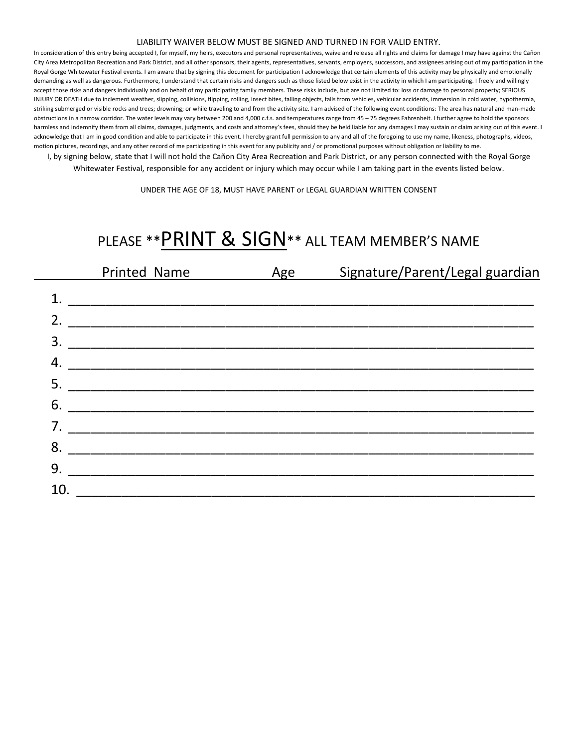#### LIABILITY WAIVER BELOW MUST BE SIGNED AND TURNED IN FOR VALID ENTRY.

In consideration of this entry being accepted I, for myself, my heirs, executors and personal representatives, waive and release all rights and claims for damage I may have against the Cañon City Area Metropolitan Recreation and Park District, and all other sponsors, their agents, representatives, servants, employers, successors, and assignees arising out of my participation in the Royal Gorge Whitewater Festival events. I am aware that by signing this document for participation I acknowledge that certain elements of this activity may be physically and emotionally demanding as well as dangerous. Furthermore, I understand that certain risks and dangers such as those listed below exist in the activity in which I am participating. I freely and willingly accept those risks and dangers individually and on behalf of my participating family members. These risks include, but are not limited to: loss or damage to personal property; SERIOUS INJURY OR DEATH due to inclement weather, slipping, collisions, flipping, rolling, insect bites, falling objects, falls from vehicles, vehicular accidents, immersion in cold water, hypothermia, striking submerged or visible rocks and trees; drowning; or while traveling to and from the activity site. I am advised of the following event conditions: The area has natural and man-made obstructions in a narrow corridor. The water levels may vary between 200 and 4,000 c.f.s. and temperatures range from 45 – 75 degrees Fahrenheit. I further agree to hold the sponsors harmless and indemnify them from all claims, damages, judgments, and costs and attorney's fees, should they be held liable for any damages I may sustain or claim arising out of this event. I acknowledge that I am in good condition and able to participate in this event. I hereby grant full permission to any and all of the foregoing to use my name, likeness, photographs, videos, motion pictures, recordings, and any other record of me participating in this event for any publicity and / or promotional purposes without obligation or liability to me.

I, by signing below, state that I will not hold the Cañon City Area Recreation and Park District, or any person connected with the Royal Gorge Whitewater Festival, responsible for any accident or injury which may occur while I am taking part in the events listed below.

UNDER THE AGE OF 18, MUST HAVE PARENT or LEGAL GUARDIAN WRITTEN CONSENT

# PLEASE \*\* PRINT & SIGN\*\* ALL TEAM MEMBER'S NAME

|    | Printed Name                                                                                                         | Age | Signature/Parent/Legal guardian |
|----|----------------------------------------------------------------------------------------------------------------------|-----|---------------------------------|
|    |                                                                                                                      |     |                                 |
| 2. |                                                                                                                      |     |                                 |
| 3. |                                                                                                                      |     |                                 |
| 4. |                                                                                                                      |     |                                 |
| 5. | <u> 1989 - Johann Barbara, martxa alemaniar argumento de la contrada de la contrada de la contrada de la contrad</u> |     |                                 |
| 6. |                                                                                                                      |     |                                 |
| 7. |                                                                                                                      |     |                                 |
| 8. |                                                                                                                      |     |                                 |
| 9. |                                                                                                                      |     |                                 |
| 10 |                                                                                                                      |     |                                 |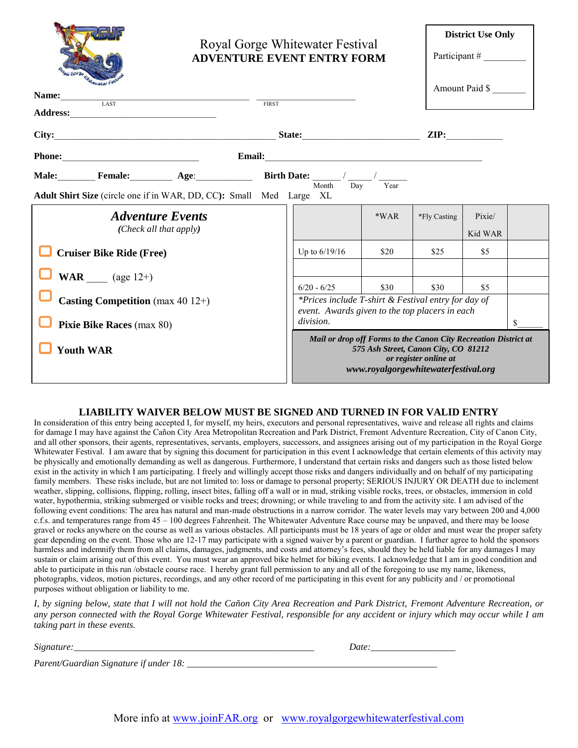|                                                                                                                                                     |                                                                                                                                                                          | Royal Gorge Whitewater Festival<br><b>ADVENTURE EVENT ENTRY FORM</b>                                                                |        |              | <b>District Use Only</b><br>Participant $#$ |   |
|-----------------------------------------------------------------------------------------------------------------------------------------------------|--------------------------------------------------------------------------------------------------------------------------------------------------------------------------|-------------------------------------------------------------------------------------------------------------------------------------|--------|--------------|---------------------------------------------|---|
| Hewater Fe<br>Name:<br>$\begin{array}{c}\n\hline\n\text{LAST}\n\end{array}$                                                                         |                                                                                                                                                                          |                                                                                                                                     |        |              | Amount Paid \$                              |   |
|                                                                                                                                                     | <b>FIRST</b>                                                                                                                                                             |                                                                                                                                     |        |              |                                             |   |
|                                                                                                                                                     |                                                                                                                                                                          |                                                                                                                                     |        |              |                                             |   |
| Phone:                                                                                                                                              |                                                                                                                                                                          |                                                                                                                                     |        |              |                                             |   |
| <b>Male:</b> Female: Age: $\qquad \qquad \text{Birth Date:} \frac{\text{Birth Date:}}{\text{Month}} / \frac{1}{\text{Day}} / \frac{1}{\text{Year}}$ |                                                                                                                                                                          |                                                                                                                                     |        |              |                                             |   |
| Adult Shirt Size (circle one if in WAR, DD, CC): Small Med Large XL                                                                                 |                                                                                                                                                                          |                                                                                                                                     |        |              |                                             |   |
| <b>Adventure Events</b><br>(Check all that apply)                                                                                                   |                                                                                                                                                                          |                                                                                                                                     | $*WAR$ | *Fly Casting | Pixie/<br>Kid WAR                           |   |
| <b>Cruiser Bike Ride (Free)</b>                                                                                                                     |                                                                                                                                                                          | Up to 6/19/16                                                                                                                       | \$20   | \$25         | \$5                                         |   |
| <b>WAR</b> (age $12+$ )<br>Casting Competition (max $40$ 12+)<br><b>Pixie Bike Races (max 80)</b>                                                   |                                                                                                                                                                          | $6/20 - 6/25$<br>*Prices include T-shirt & Festival entry for day of<br>event. Awards given to the top placers in each<br>division. | \$30   | \$30         | \$5                                         | S |
| <b>Youth WAR</b>                                                                                                                                    | Mail or drop off Forms to the Canon City Recreation District at<br>575 Ash Street, Canon City, CO 81212<br>or register online at<br>www.royalgorgewhitewaterfestival.org |                                                                                                                                     |        |              |                                             |   |

## **LIABILITY WAIVER BELOW MUST BE SIGNED AND TURNED IN FOR VALID ENTRY**

In consideration of this entry being accepted I, for myself, my heirs, executors and personal representatives, waive and release all rights and claims for damage I may have against the Cañon City Area Metropolitan Recreation and Park District, Fremont Adventure Recreation, City of Canon City, and all other sponsors, their agents, representatives, servants, employers, successors, and assignees arising out of my participation in the Royal Gorge Whitewater Festival. I am aware that by signing this document for participation in this event I acknowledge that certain elements of this activity may be physically and emotionally demanding as well as dangerous. Furthermore, I understand that certain risks and dangers such as those listed below exist in the activity in which I am participating. I freely and willingly accept those risks and dangers individually and on behalf of my participating family members. These risks include, but are not limited to: loss or damage to personal property; SERIOUS INJURY OR DEATH due to inclement weather, slipping, collisions, flipping, rolling, insect bites, falling off a wall or in mud, striking visible rocks, trees, or obstacles, immersion in cold water, hypothermia, striking submerged or visible rocks and trees; drowning; or while traveling to and from the activity site. I am advised of the following event conditions: The area has natural and man-made obstructions in a narrow corridor. The water levels may vary between 200 and 4,000 c.f.s. and temperatures range from 45 – 100 degrees Fahrenheit. The Whitewater Adventure Race course may be unpaved, and there may be loose gravel or rocks anywhere on the course as well as various obstacles. All participants must be 18 years of age or older and must wear the proper safety gear depending on the event. Those who are 12-17 may participate with a signed waiver by a parent or guardian. I further agree to hold the sponsors harmless and indemnify them from all claims, damages, judgments, and costs and attorney's fees, should they be held liable for any damages I may sustain or claim arising out of this event. You must wear an approved bike helmet for biking events. I acknowledge that I am in good condition and able to participate in this run /obstacle course race. I hereby grant full permission to any and all of the foregoing to use my name, likeness, photographs, videos, motion pictures, recordings, and any other record of me participating in this event for any publicity and / or promotional purposes without obligation or liability to me.

*I, by signing below, state that I will not hold the Cañon City Area Recreation and Park District, Fremont Adventure Recreation, or any person connected with the Royal Gorge Whitewater Festival, responsible for any accident or injury which may occur while I am taking part in these events.* 

| Signature: |
|------------|
|------------|

| $\sim$          |                                                                         |                    |       |
|-----------------|-------------------------------------------------------------------------|--------------------|-------|
| 10 <sup>7</sup> |                                                                         |                    |       |
|                 |                                                                         | .                  |       |
|                 | ___________<br>____<br>___<br>______<br>____<br>___<br>______<br>______ | ____<br>__________ | _____ |

*Parent/Guardian Signature if under 18: \_\_\_\_\_\_\_\_\_\_\_\_\_\_\_\_\_\_\_\_\_\_\_\_\_\_\_\_\_\_\_\_\_\_\_\_\_\_\_\_\_\_\_\_\_\_\_\_\_\_\_\_\_*